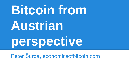# **Bitcoin from Austrian perspective**

Peter Šurda, economicsofbitcoin.com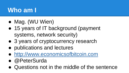## **Who am I**

- Mag. (WU Wien)
- 15 years of IT background (payment systems, network security)
- 3 years of cryptocurrency research
- publications and lectures
- <http://www.economicsofbitcoin.com>
- @PeterSurda
- Questions not in the middle of the sentence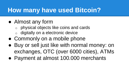# **How many have used Bitcoin?**

- Almost any form
	- physical objects like coins and cards
	- digitally on a electronic device
- Commonly on a mobile phone
- Buy or sell just like with normal money: on exchanges, OTC (over 6000 cities), ATMs
- Payment at almost 100.000 merchants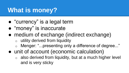# **What is money?**

- "currency" is a legal term
- "money" is inaccurate
- medium of exchange (indirect exchange)
	- $\circ$  utility derived from liquidity
	- o Menger: "...presenting only a difference of degree..."
- unit of account (economic calculation)
	- $\circ$  also derived from liquidity, but at a much higher level and is very sticky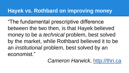#### **Hayek vs. Rothbard on improving money**

"The fundamental prescriptive difference between the two then, is that Hayek believed money to be a *technical* problem, best solved by the market, while Rothbard believed it to be an *institutional* problem, best solved by an economist."

#### *Cameron Harwick*,<http://thri.ca>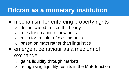# **Bitcoin as a monetary institution**

- mechanism for enforcing property rights
	- o decentralised trusted third party
	- rules for creation of new units
	- $\circ$  rules for transfer of existing units
	- $\circ$  based on math rather than linguistics
- emergent behaviour as a medium of exchange
	- gains liquidity through markets
	- recognising liquidity results in the MoE function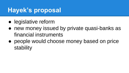# **Hayek's proposal**

- legislative reform
- new money issued by private quasi-banks as financial instruments
- people would choose money based on price stability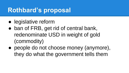## **Rothbard's proposal**

- legislative reform
- ban of FRB, get rid of central bank, redenominate USD in weight of gold (commodity)
- people do not choose money (anymore), they do what the government tells them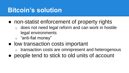## **Bitcoin's solution**

- non-statist enforcement of property rights
	- $\circ$  does not need legal reform and can work in hostile legal environments
	- o "anti-fiat money"
- low transaction costs important
	- transaction costs are omnipresent and heterogenous
- people tend to stick to old units of account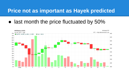#### **Price not as important as Hayek predicted**

• last month the price fluctuated by 50%

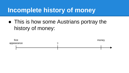## **Incomplete history of money**

• This is how some Austrians portray the history of money:

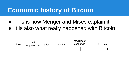## **Economic history of Bitcoin**

- This is how Menger and Mises explain it
- It is also what really happened with Bitcoin

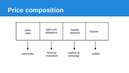### **Price composition**

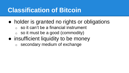## **Classification of Bitcoin**

- holder is granted no rights or obligations
	- $\circ$  so it can't be a financial instrument
	- $\circ$  so it must be a good (commodity)
- insufficient liquidity to be money
	- o secondary medium of exchange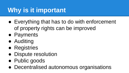# **Why is it important**

- Everything that has to do with enforcement of property rights can be improved
- Payments
- Auditing
- Registries
- Dispute resolution
- Public goods
- Decentralised autonomous organisations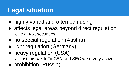# **Legal situation**

- highly varied and often confusing
- affects legal areas beyond direct regulation o e.g. tax, securities
- no special regulation (Austria)
- light regulation (Germany)
- heavy regulation (USA)
	- just this week FinCEN and SEC were very active
- prohibition (Russia)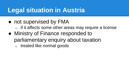# **Legal situation in Austria**

- not supervised by FMA
	- $\circ$  if it affects some other areas may require a license
- Ministry of Finance responded to parliamentary enquiry about taxation o treated like normal goods